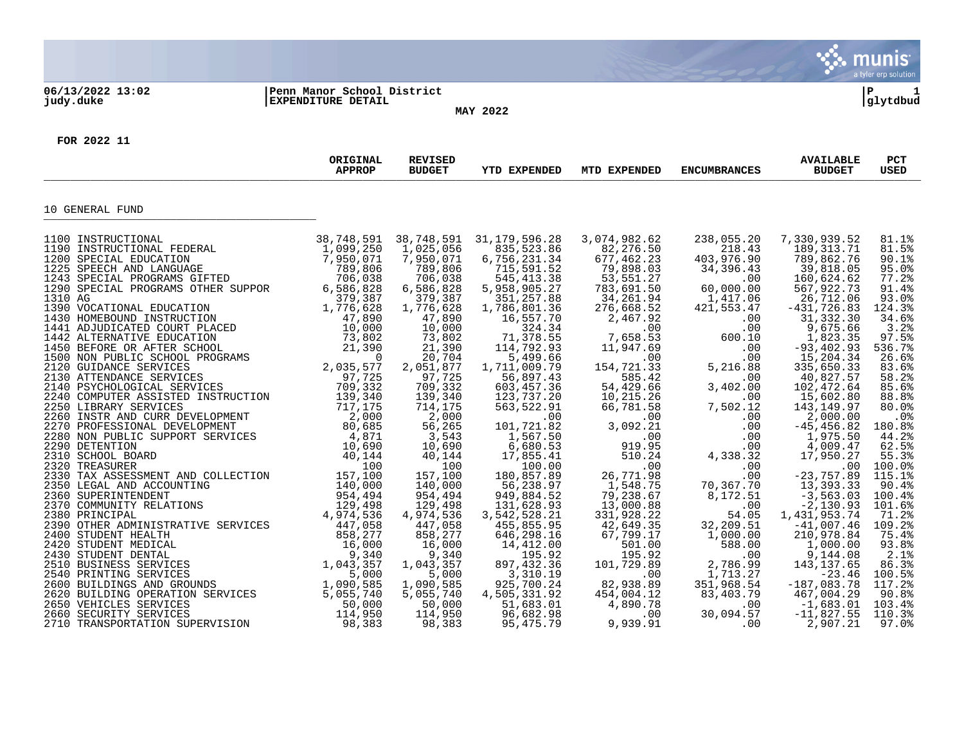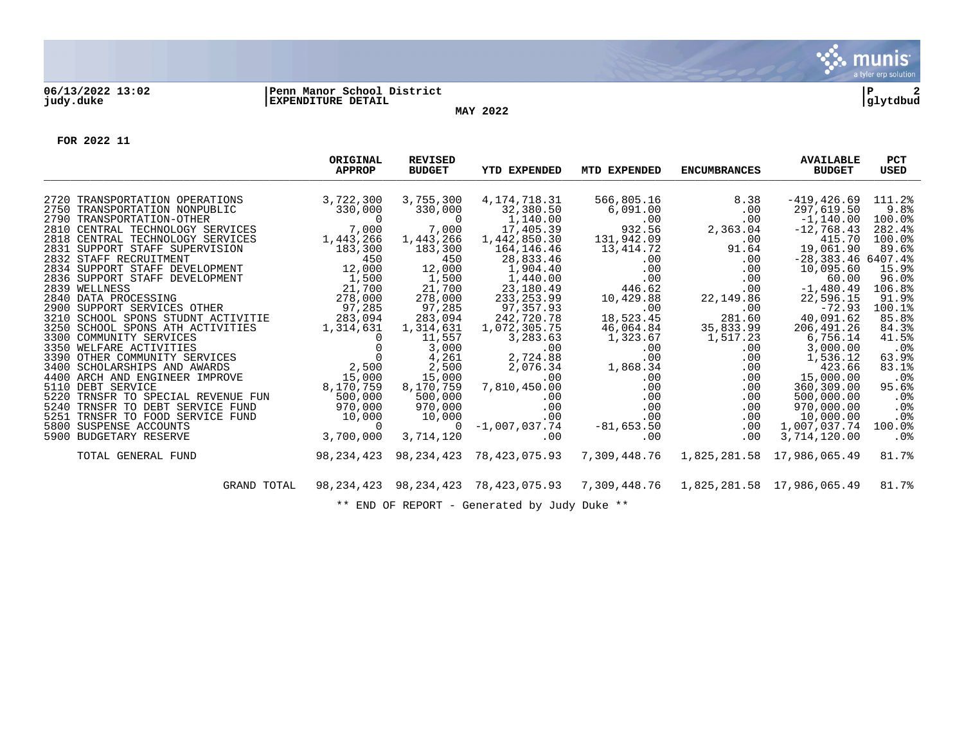

## **06/13/2022 13:02 |Penn Manor School District |P 2 judy.duke |EXPENDITURE DETAIL |glytdbud**

**MAY 2022**

**FOR 2022 11**

|                                                                                                                                              | ORIGINAL<br><b>APPROP</b> | <b>REVISED</b><br><b>BUDGET</b> | <b>YTD EXPENDED</b>           | MTD EXPENDED    | <b>ENCUMBRANCES</b>        | <b>AVAILABLE</b><br><b>BUDGET</b> | <b>PCT</b><br>USED |
|----------------------------------------------------------------------------------------------------------------------------------------------|---------------------------|---------------------------------|-------------------------------|-----------------|----------------------------|-----------------------------------|--------------------|
| 2720 TRANSPORTATION OPERATIONS                                                                                                               | 3,722,300                 | 3,755,300                       | 4, 174, 718.31                | 566,805.16      | 8.38                       | -419,426.69                       | 111.2%             |
| 2750 TRANSPORTATION NONPUBLIC                                                                                                                | 330,000                   | 330,000                         | 32,380.50                     | 6,091.00        | .00                        | 297,619.50                        | 9.8%               |
| 2790 TRANSPORTATION-OTHER                                                                                                                    | $\sim$ 0                  |                                 | 1,140.00                      | .00             | .00                        | $-1,140.00$                       | 100.0%             |
| 2810 CENTRAL TECHNOLOGY SERVICES                                                                                                             | 7,000                     | 7,000                           | 17,405.39                     | 932.56          | 2,363.04                   | $-12,768.43$                      | 282.4%             |
| 2818 CENTRAL TECHNOLOGY SERVICES                                                                                                             | 1,443,266                 | 1,443,266                       | 1,442,850.30                  | 131,942.09      | $.00 \ \rm$                | 415.70                            | 100.0%             |
| 2831 SUPPORT STAFF SUPERVISION                                                                                                               | 183,300                   | 183,300                         | 164,146.46                    | 13,414.72       | 91.64                      | 19,061.90                         | 89.6%              |
| 2832 STAFF RECRUITMENT                                                                                                                       | 450                       | 450                             | 28,833.46                     | .00             | $.00 \ \rm$                | $-28,383.46$ 6407.4%              |                    |
| 2834 SUPPORT STAFF DEVELOPMENT                                                                                                               | 12,000                    | 12,000                          | 1,904.40                      | .00             | .00                        | 10,095.60                         | 15.9%              |
| JEVELOPMENT<br>JEVELOPMENT<br>G 278,000<br>2836 SUPPORT STAFF DEVELOPMENT                                                                    |                           | 1,500                           | 1,440.00                      | .00             | .00                        | 60.00                             | 96.0%              |
| 2839 WELLNESS                                                                                                                                |                           | 21,700                          | 23,180.49                     | 446.62          | $.00 \ \rm$                | $-1,480.49$                       | 106.8%             |
| 2840 DATA PROCESSING                                                                                                                         |                           | 278,000                         | 233, 253.99                   | 10,429.88       | 22,149.86                  | 22,596.15                         | 91.9%              |
| 2900 SUPPORT SERVICES OTHER                                                                                                                  | 97,285                    | 97,285                          | 97,357.93                     | .00             | .00                        | $-72.93$                          | 100.1%             |
| 3210 SCHOOL SPONS STUDNT ACTIVITIE                                                                                                           | 283,094                   | 283,094                         | 242,720.78                    | 18,523.45       | 281.60                     | 40,091.62                         | 85.8%              |
| 3250 SCHOOL SPONS ATH ACTIVITIES                                                                                                             | 1,314,631                 | 1,314,631                       | 1,072,305.75                  | 46,064.84       | 35,833.99                  | 206, 491.26                       | 84.3%              |
| 3300 COMMUNITY SERVICES<br>The contract of the contract of $\frac{0}{0}$<br>S<br>OVE 2,500<br>OVE 15,000                                     |                           | 11,557                          | 3,283.63                      | 1,323.67        | 1,517.23                   | 6,756.14                          | 41.5%              |
| 3350 WELFARE ACTIVITIES                                                                                                                      |                           | 3,000                           | .00                           | .00             | .00                        | 3,000.00                          | .0%                |
| 3390 OTHER COMMUNITY SERVICES<br>3400 SCHOLARSHIPS AND AWARDS                                                                                |                           | 4,261                           | 2,724.88                      | .00             | .00                        | 1,536.12<br>423.66                | 63.9%<br>83.1%     |
| 4400 ARCH AND ENGINEER IMPROVE                                                                                                               |                           | 2,500<br>15,000                 | 2,076.34<br>.00               | 1,868.34<br>.00 | .00<br>.00                 | 15,000.00                         | .0 <sub>8</sub>    |
| 5110 DEBT SERVICE                                                                                                                            | 8,170,759                 | 8,170,759                       | 7,810,450.00                  | .00             | $.00 \,$                   | 360,309.00                        | 95.6%              |
| 5220 TRNSFR TO SPECIAL REVENUE FUN                                                                                                           | 500,000                   | 500,000                         | .00                           | .00             | .00                        | 500,000.00                        | $.0\%$             |
| 5240 TRNSFR TO DEBT SERVICE FUND                                                                                                             | 970,000                   | 970,000                         | .00                           | .00             | .00                        | 970,000.00                        | .0%                |
| 5251 TRNSFR TO FOOD SERVICE FUND                                                                                                             |                           | 10,000                          | .00                           | .00             | .00                        | 10,000.00                         | .0%                |
| 5800 SUSPENSE ACCOUNTS                                                                                                                       |                           | $\Omega$                        | $-1,007,037.74$               | $-81,653.50$    | .00                        | 1,007,037.74                      | 100.0%             |
| $\begin{bmatrix} \text{ICE} & \text{FUND} & & & 10 \, ,000 \, & & & & 0 \ & & & & 3 \, ,700 \, ,000 \end{bmatrix}$<br>5900 BUDGETARY RESERVE |                           | 3,714,120                       | .00                           | .00             | .00                        | 3,714,120.00                      | .0%                |
| TOTAL GENERAL FUND                                                                                                                           | 98,234,423                | 98,234,423                      | 78,423,075.93                 | 7,309,448.76    | 1,825,281.58 17,986,065.49 |                                   | 81.7%              |
| GRAND TOTAL                                                                                                                                  | 98, 234, 423              |                                 | 98, 234, 423 78, 423, 075. 93 | 7,309,448.76    |                            | 1,825,281.58 17,986,065.49        | 81.7%              |
|                                                                                                                                              |                           |                                 |                               |                 |                            |                                   |                    |

\*\* END OF REPORT - Generated by Judy Duke \*\*